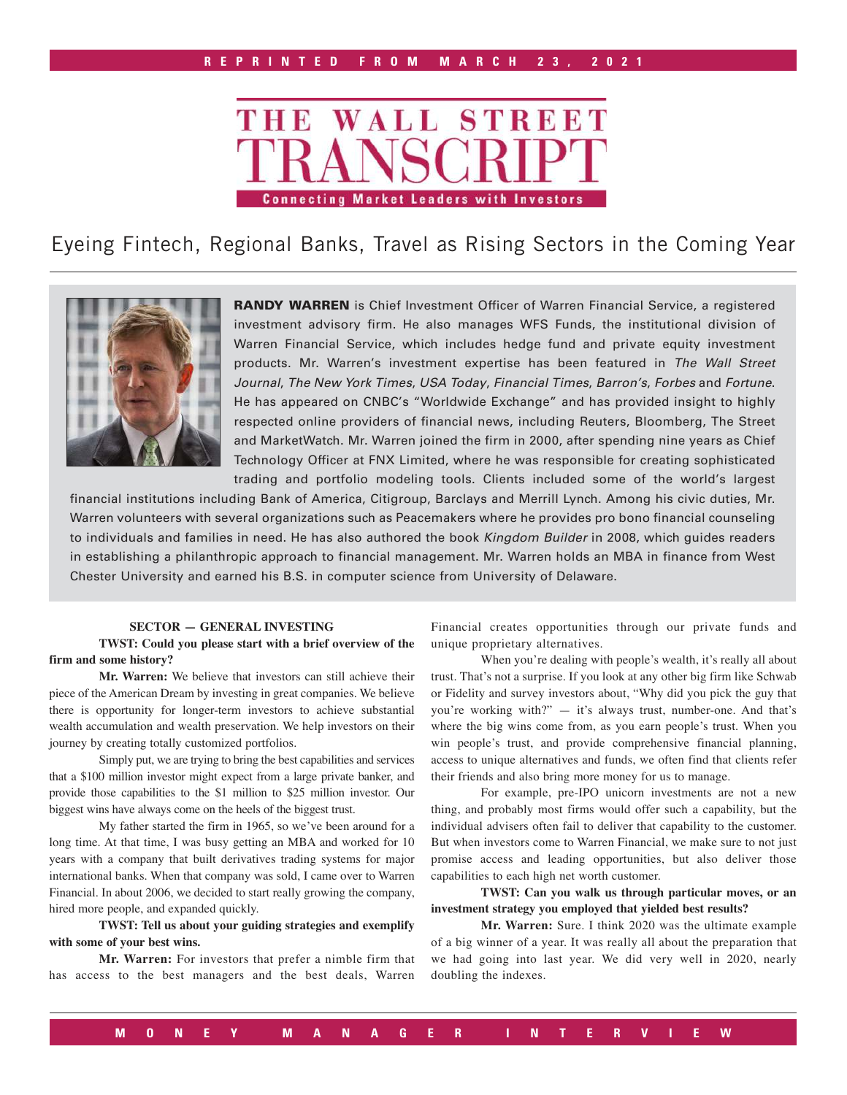

Eyeing Fintech, Regional Banks, Travel as Rising Sectors in the Coming Year



RANDY WARREN is Chief Investment Officer of Warren Financial Service, a registered investment advisory firm. He also manages WFS Funds, the institutional division of Warren Financial Service, which includes hedge fund and private equity investment products. Mr. Warren's investment expertise has been featured in *The Wall Street Journal*, *The New York Times*, *USA Today*, *Financial Times*, *Barron's*, *Forbes* and *Fortune*. He has appeared on CNBC's "Worldwide Exchange" and has provided insight to highly respected online providers of financial news, including Reuters, Bloomberg, The Street and MarketWatch. Mr. Warren joined the firm in 2000, after spending nine years as Chief Technology Officer at FNX Limited, where he was responsible for creating sophisticated trading and portfolio modeling tools. Clients included some of the world's largest

financial institutions including Bank of America, Citigroup, Barclays and Merrill Lynch. Among his civic duties, Mr. Warren volunteers with several organizations such as Peacemakers where he provides pro bono financial counseling to individuals and families in need. He has also authored the book *Kingdom Builder* in 2008, which guides readers in establishing a philanthropic approach to financial management. Mr. Warren holds an MBA in finance from West Chester University and earned his B.S. in computer science from University of Delaware.

#### **SECTOR — GENERAL INVESTING**

**TWST: Could you please start with a brief overview of the firm and some history?**

**Mr. Warren:** We believe that investors can still achieve their piece of the American Dream by investing in great companies. We believe there is opportunity for longer-term investors to achieve substantial wealth accumulation and wealth preservation. We help investors on their journey by creating totally customized portfolios.

Simply put, we are trying to bring the best capabilities and services that a \$100 million investor might expect from a large private banker, and provide those capabilities to the \$1 million to \$25 million investor. Our biggest wins have always come on the heels of the biggest trust.

My father started the firm in 1965, so we've been around for a long time. At that time, I was busy getting an MBA and worked for 10 years with a company that built derivatives trading systems for major international banks. When that company was sold, I came over to Warren Financial. In about 2006, we decided to start really growing the company, hired more people, and expanded quickly.

**TWST: Tell us about your guiding strategies and exemplify with some of your best wins.**

**Mr. Warren:** For investors that prefer a nimble firm that has access to the best managers and the best deals, Warren

Financial creates opportunities through our private funds and unique proprietary alternatives.

When you're dealing with people's wealth, it's really all about trust. That's not a surprise. If you look at any other big firm like Schwab or Fidelity and survey investors about, "Why did you pick the guy that you're working with?" — it's always trust, number-one. And that's where the big wins come from, as you earn people's trust. When you win people's trust, and provide comprehensive financial planning, access to unique alternatives and funds, we often find that clients refer their friends and also bring more money for us to manage.

For example, pre-IPO unicorn investments are not a new thing, and probably most firms would offer such a capability, but the individual advisers often fail to deliver that capability to the customer. But when investors come to Warren Financial, we make sure to not just promise access and leading opportunities, but also deliver those capabilities to each high net worth customer.

**TWST: Can you walk us through particular moves, or an investment strategy you employed that yielded best results?**

**Mr. Warren:** Sure. I think 2020 was the ultimate example of a big winner of a year. It was really all about the preparation that we had going into last year. We did very well in 2020, nearly doubling the indexes.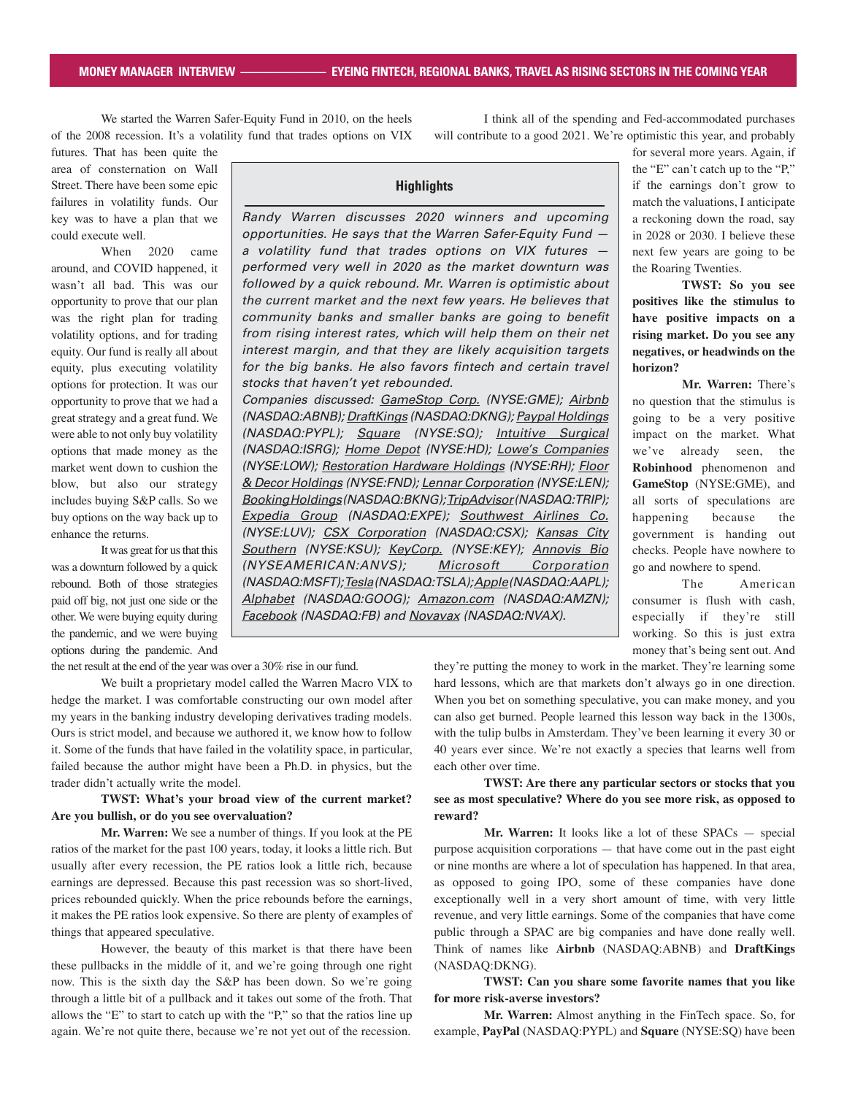We started the Warren Safer-Equity Fund in 2010, on the heels of the 2008 recession. It's a volatility fund that trades options on VIX

futures. That has been quite the area of consternation on Wall Street. There have been some epic failures in volatility funds. Our key was to have a plan that we could execute well.

When 2020 came around, and COVID happened, it wasn't all bad. This was our opportunity to prove that our plan was the right plan for trading volatility options, and for trading equity. Our fund is really all about equity, plus executing volatility options for protection. It was our opportunity to prove that we had a great strategy and a great fund. We were able to not only buy volatility options that made money as the market went down to cushion the blow, but also our strategy includes buying S&P calls. So we buy options on the way back up to enhance the returns.

It was great for us that this was a downturn followed by a quick rebound. Both of those strategies paid off big, not just one side or the other. We were buying equity during the pandemic, and we were buying options during the pandemic. And *Randy Warren discusses 2020 winners and upcoming opportunities. He says that the Warren Safer-Equity Fund a volatility fund that trades options on VIX futures performed very well in 2020 as the market downturn was followed by a quick rebound. Mr. Warren is optimistic about the current market and the next few years. He believes that community banks and smaller banks are going to benefit from rising interest rates, which will help them on their net interest margin, and that they are likely acquisition targets*  for the big banks. He also favors fintech and certain travel *stocks that haven't yet rebounded. Companies discussed: GameStop Corp. (NYSE:GME); Airbnb (NASDAQ:ABNB); DraftKings (NASDAQ:DKNG); Paypal Holdings (NASDAQ:PYPL); Square (NYSE:SQ); Intuitive Surgical (NASDAQ:ISRG); Home Depot (NYSE:HD); Lowe's Companies (NYSE:LOW); Restoration Hardware Holdings (NYSE:RH); Floor & Decor Holdings (NYSE:FND); Lennar Corporation (NYSE:LEN); Booking Holdings (NASDAQ:BKNG); TripAdvisor (NASDAQ:TRIP); Expedia Group (NASDAQ:EXPE); Southwest Airlines Co. (NYSE:LUV); CSX Corporation (NASDAQ:CSX); Kansas City Southern (NYSE:KSU); KeyCorp. (NYSE:KEY); Annovis Bio (NYSEAMERICAN:ANVS); Microsoft Corporation (NASDAQ:MSFT); Tesla (NASDAQ:TSLA); Apple (NASDAQ:AAPL); Alphabet (NASDAQ:GOOG); Amazon.com (NASDAQ:AMZN); Facebook (NASDAQ:FB) and Novavax (NASDAQ:NVAX).*

**Highlights**

I think all of the spending and Fed-accommodated purchases will contribute to a good 2021. We're optimistic this year, and probably

> for several more years. Again, if the "E" can't catch up to the "P," if the earnings don't grow to match the valuations, I anticipate a reckoning down the road, say in 2028 or 2030. I believe these next few years are going to be the Roaring Twenties.

> **TWST: So you see positives like the stimulus to have positive impacts on a rising market. Do you see any negatives, or headwinds on the horizon?**

> **Mr. Warren:** There's no question that the stimulus is going to be a very positive impact on the market. What we've already seen, the **Robinhood** phenomenon and **GameStop** (NYSE:GME), and all sorts of speculations are happening because the government is handing out checks. People have nowhere to go and nowhere to spend.

> The American consumer is flush with cash, especially if they're still working. So this is just extra money that's being sent out. And

the net result at the end of the year was over a 30% rise in our fund.

We built a proprietary model called the Warren Macro VIX to hedge the market. I was comfortable constructing our own model after my years in the banking industry developing derivatives trading models. Ours is strict model, and because we authored it, we know how to follow it. Some of the funds that have failed in the volatility space, in particular, failed because the author might have been a Ph.D. in physics, but the trader didn't actually write the model.

# **TWST: What's your broad view of the current market? Are you bullish, or do you see overvaluation?**

**Mr. Warren:** We see a number of things. If you look at the PE ratios of the market for the past 100 years, today, it looks a little rich. But usually after every recession, the PE ratios look a little rich, because earnings are depressed. Because this past recession was so short-lived, prices rebounded quickly. When the price rebounds before the earnings, it makes the PE ratios look expensive. So there are plenty of examples of things that appeared speculative.

However, the beauty of this market is that there have been these pullbacks in the middle of it, and we're going through one right now. This is the sixth day the S&P has been down. So we're going through a little bit of a pullback and it takes out some of the froth. That allows the "E" to start to catch up with the "P," so that the ratios line up again. We're not quite there, because we're not yet out of the recession.

they're putting the money to work in the market. They're learning some hard lessons, which are that markets don't always go in one direction. When you bet on something speculative, you can make money, and you can also get burned. People learned this lesson way back in the 1300s, with the tulip bulbs in Amsterdam. They've been learning it every 30 or 40 years ever since. We're not exactly a species that learns well from each other over time.

# **TWST: Are there any particular sectors or stocks that you see as most speculative? Where do you see more risk, as opposed to reward?**

**Mr. Warren:** It looks like a lot of these SPACs — special purpose acquisition corporations — that have come out in the past eight or nine months are where a lot of speculation has happened. In that area, as opposed to going IPO, some of these companies have done exceptionally well in a very short amount of time, with very little revenue, and very little earnings. Some of the companies that have come public through a SPAC are big companies and have done really well. Think of names like **Airbnb** (NASDAQ:ABNB) and **DraftKings**  (NASDAQ:DKNG).

# **TWST: Can you share some favorite names that you like for more risk-averse investors?**

**Mr. Warren:** Almost anything in the FinTech space. So, for example, **PayPal** (NASDAQ:PYPL) and **Square** (NYSE:SQ) have been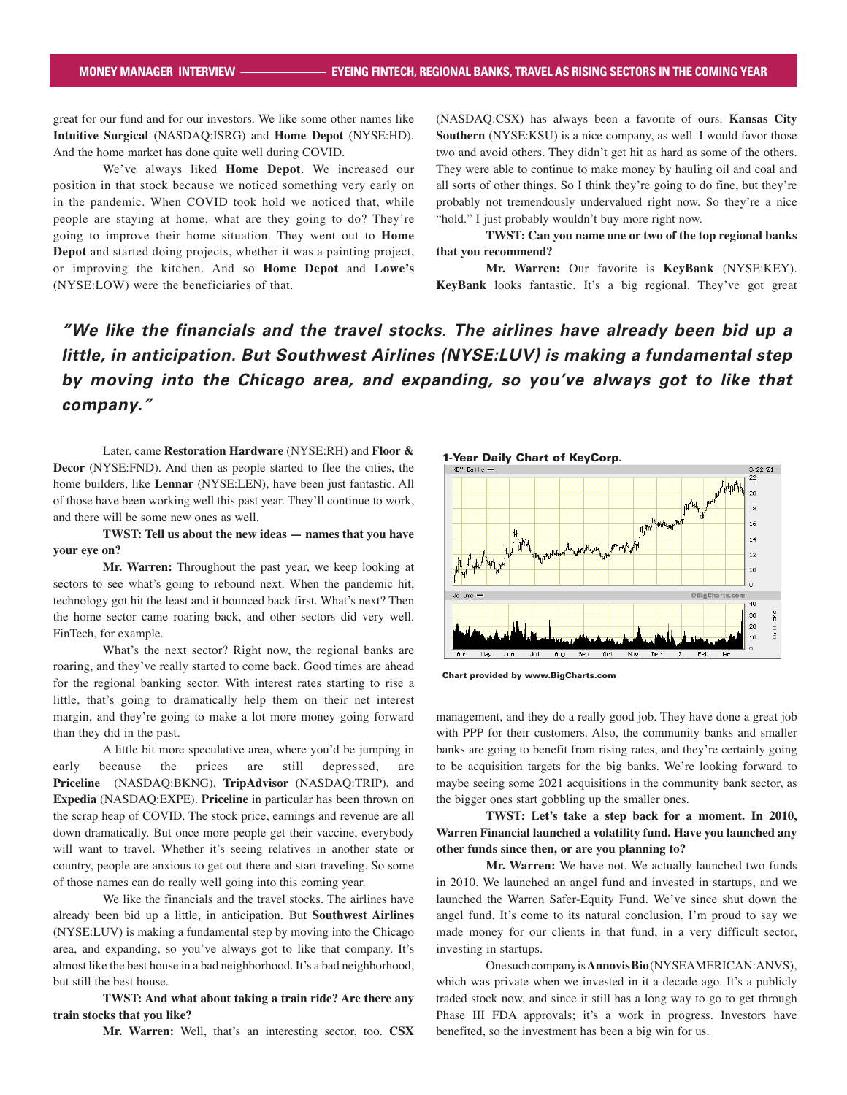great for our fund and for our investors. We like some other names like **Intuitive Surgical** (NASDAQ:ISRG) and **Home Depot** (NYSE:HD). And the home market has done quite well during COVID.

We've always liked **Home Depot**. We increased our position in that stock because we noticed something very early on in the pandemic. When COVID took hold we noticed that, while people are staying at home, what are they going to do? They're going to improve their home situation. They went out to **Home Depot** and started doing projects, whether it was a painting project, or improving the kitchen. And so **Home Depot** and **Lowe's** (NYSE:LOW) were the beneficiaries of that.

(NASDAQ:CSX) has always been a favorite of ours. **Kansas City Southern** (NYSE:KSU) is a nice company, as well. I would favor those two and avoid others. They didn't get hit as hard as some of the others. They were able to continue to make money by hauling oil and coal and all sorts of other things. So I think they're going to do fine, but they're probably not tremendously undervalued right now. So they're a nice "hold." I just probably wouldn't buy more right now.

**TWST: Can you name one or two of the top regional banks that you recommend?**

**Mr. Warren:** Our favorite is **KeyBank** (NYSE:KEY). **KeyBank** looks fantastic. It's a big regional. They've got great

# *"We like the financials and the travel stocks. The airlines have already been bid up a little, in anticipation. But Southwest Airlines (NYSE:LUV) is making a fundamental step by moving into the Chicago area, and expanding, so you've always got to like that company."*

Later, came **Restoration Hardware** (NYSE:RH) and **Floor & Decor** (NYSE:FND). And then as people started to flee the cities, the home builders, like **Lennar** (NYSE:LEN), have been just fantastic. All of those have been working well this past year. They'll continue to work, and there will be some new ones as well.

# **TWST: Tell us about the new ideas — names that you have your eye on?**

**Mr. Warren:** Throughout the past year, we keep looking at sectors to see what's going to rebound next. When the pandemic hit, technology got hit the least and it bounced back first. What's next? Then the home sector came roaring back, and other sectors did very well. FinTech, for example.

What's the next sector? Right now, the regional banks are roaring, and they've really started to come back. Good times are ahead for the regional banking sector. With interest rates starting to rise a little, that's going to dramatically help them on their net interest margin, and they're going to make a lot more money going forward than they did in the past.

A little bit more speculative area, where you'd be jumping in early because the prices are still depressed, are **Priceline**  (NASDAQ:BKNG), **TripAdvisor** (NASDAQ:TRIP), and **Expedia** (NASDAQ:EXPE). **Priceline** in particular has been thrown on the scrap heap of COVID. The stock price, earnings and revenue are all down dramatically. But once more people get their vaccine, everybody will want to travel. Whether it's seeing relatives in another state or country, people are anxious to get out there and start traveling. So some of those names can do really well going into this coming year.

We like the financials and the travel stocks. The airlines have already been bid up a little, in anticipation. But **Southwest Airlines**  (NYSE:LUV) is making a fundamental step by moving into the Chicago area, and expanding, so you've always got to like that company. It's almost like the best house in a bad neighborhood. It's a bad neighborhood, but still the best house.

**TWST: And what about taking a train ride? Are there any train stocks that you like?**

**Mr. Warren:** Well, that's an interesting sector, too. **CSX** 



Chart provided by www.BigCharts.com

management, and they do a really good job. They have done a great job with PPP for their customers. Also, the community banks and smaller banks are going to benefit from rising rates, and they're certainly going to be acquisition targets for the big banks. We're looking forward to maybe seeing some 2021 acquisitions in the community bank sector, as the bigger ones start gobbling up the smaller ones.

**TWST: Let's take a step back for a moment. In 2010, Warren Financial launched a volatility fund. Have you launched any other funds since then, or are you planning to?**

**Mr. Warren:** We have not. We actually launched two funds in 2010. We launched an angel fund and invested in startups, and we launched the Warren Safer-Equity Fund. We've since shut down the angel fund. It's come to its natural conclusion. I'm proud to say we made money for our clients in that fund, in a very difficult sector, investing in startups.

One such company is **Annovis Bio** (NYSEAMERICAN:ANVS), which was private when we invested in it a decade ago. It's a publicly traded stock now, and since it still has a long way to go to get through Phase III FDA approvals; it's a work in progress. Investors have benefited, so the investment has been a big win for us.